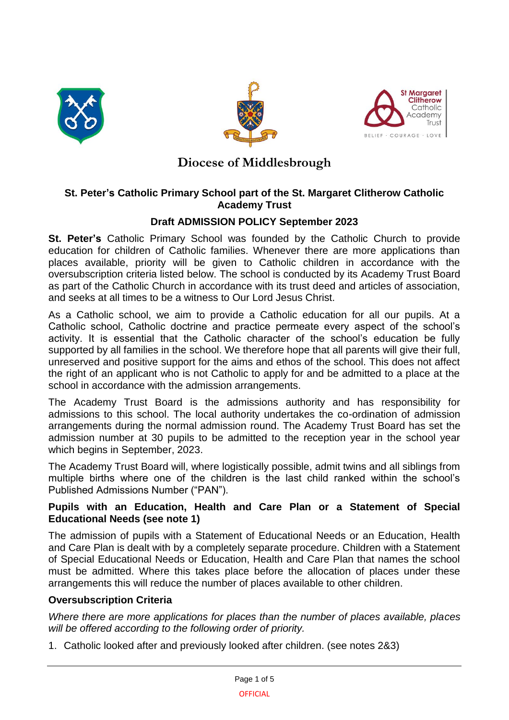





# **Diocese of Middlesbrough**

### **St. Peter's Catholic Primary School part of the St. Margaret Clitherow Catholic Academy Trust**

### **Draft ADMISSION POLICY September 2023**

**St. Peter's** Catholic Primary School was founded by the Catholic Church to provide education for children of Catholic families. Whenever there are more applications than places available, priority will be given to Catholic children in accordance with the oversubscription criteria listed below. The school is conducted by its Academy Trust Board as part of the Catholic Church in accordance with its trust deed and articles of association, and seeks at all times to be a witness to Our Lord Jesus Christ.

As a Catholic school, we aim to provide a Catholic education for all our pupils. At a Catholic school, Catholic doctrine and practice permeate every aspect of the school's activity. It is essential that the Catholic character of the school's education be fully supported by all families in the school. We therefore hope that all parents will give their full, unreserved and positive support for the aims and ethos of the school. This does not affect the right of an applicant who is not Catholic to apply for and be admitted to a place at the school in accordance with the admission arrangements.

The Academy Trust Board is the admissions authority and has responsibility for admissions to this school. The local authority undertakes the co-ordination of admission arrangements during the normal admission round. The Academy Trust Board has set the admission number at 30 pupils to be admitted to the reception year in the school year which begins in September, 2023.

The Academy Trust Board will, where logistically possible, admit twins and all siblings from multiple births where one of the children is the last child ranked within the school's Published Admissions Number ("PAN").

### **Pupils with an Education, Health and Care Plan or a Statement of Special Educational Needs (see note 1)**

The admission of pupils with a Statement of Educational Needs or an Education, Health and Care Plan is dealt with by a completely separate procedure. Children with a Statement of Special Educational Needs or Education, Health and Care Plan that names the school must be admitted. Where this takes place before the allocation of places under these arrangements this will reduce the number of places available to other children.

### **Oversubscription Criteria**

*Where there are more applications for places than the number of places available, places will be offered according to the following order of priority.*

1. Catholic looked after and previously looked after children. (see notes 2&3)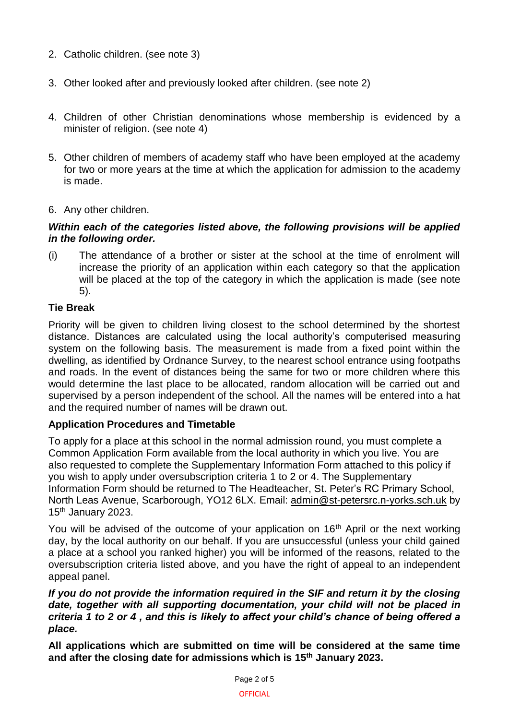- 2. Catholic children. (see note 3)
- 3. Other looked after and previously looked after children. (see note 2)
- 4. Children of other Christian denominations whose membership is evidenced by a minister of religion. (see note 4)
- 5. Other children of members of academy staff who have been employed at the academy for two or more years at the time at which the application for admission to the academy is made.
- 6. Any other children.

#### *Within each of the categories listed above, the following provisions will be applied in the following order.*

(i) The attendance of a brother or sister at the school at the time of enrolment will increase the priority of an application within each category so that the application will be placed at the top of the category in which the application is made (see note 5).

### **Tie Break**

Priority will be given to children living closest to the school determined by the shortest distance. Distances are calculated using the local authority's computerised measuring system on the following basis. The measurement is made from a fixed point within the dwelling, as identified by Ordnance Survey, to the nearest school entrance using footpaths and roads. In the event of distances being the same for two or more children where this would determine the last place to be allocated, random allocation will be carried out and supervised by a person independent of the school. All the names will be entered into a hat and the required number of names will be drawn out.

### **Application Procedures and Timetable**

To apply for a place at this school in the normal admission round, you must complete a Common Application Form available from the local authority in which you live. You are also requested to complete the Supplementary Information Form attached to this policy if you wish to apply under oversubscription criteria 1 to 2 or 4. The Supplementary Information Form should be returned to The Headteacher, St. Peter's RC Primary School, North Leas Avenue, Scarborough, YO12 6LX. Email: [admin@st-petersrc.n-yorks.sch.uk](mailto:admin@st-petersrc.n-yorks.sch.uk) by 15<sup>th</sup> January 2023.

You will be advised of the outcome of your application on 16<sup>th</sup> April or the next working day, by the local authority on our behalf. If you are unsuccessful (unless your child gained a place at a school you ranked higher) you will be informed of the reasons, related to the oversubscription criteria listed above, and you have the right of appeal to an independent appeal panel.

#### *If you do not provide the information required in the SIF and return it by the closing*  date, together with all supporting documentation, your child will not be placed in *criteria 1 to 2 or 4 , and this is likely to affect your child's chance of being offered a place.*

**All applications which are submitted on time will be considered at the same time and after the closing date for admissions which is 15th January 2023.**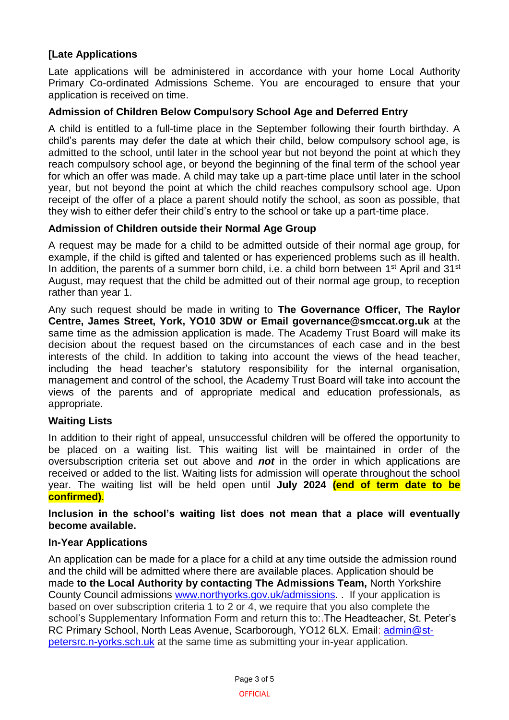# **[Late Applications**

Late applications will be administered in accordance with your home Local Authority Primary Co-ordinated Admissions Scheme. You are encouraged to ensure that your application is received on time.

### **Admission of Children Below Compulsory School Age and Deferred Entry**

A child is entitled to a full-time place in the September following their fourth birthday. A child's parents may defer the date at which their child, below compulsory school age, is admitted to the school, until later in the school year but not beyond the point at which they reach compulsory school age, or beyond the beginning of the final term of the school year for which an offer was made. A child may take up a part-time place until later in the school year, but not beyond the point at which the child reaches compulsory school age. Upon receipt of the offer of a place a parent should notify the school, as soon as possible, that they wish to either defer their child's entry to the school or take up a part-time place.

### **Admission of Children outside their Normal Age Group**

A request may be made for a child to be admitted outside of their normal age group, for example, if the child is gifted and talented or has experienced problems such as ill health. In addition, the parents of a summer born child, i.e. a child born between 1<sup>st</sup> April and 31<sup>st</sup> August, may request that the child be admitted out of their normal age group, to reception rather than year 1.

Any such request should be made in writing to **The Governance Officer, The Raylor Centre, James Street, York, YO10 3DW or Email governance@smccat.org.uk** at the same time as the admission application is made. The Academy Trust Board will make its decision about the request based on the circumstances of each case and in the best interests of the child. In addition to taking into account the views of the head teacher, including the head teacher's statutory responsibility for the internal organisation, management and control of the school, the Academy Trust Board will take into account the views of the parents and of appropriate medical and education professionals, as appropriate.

### **Waiting Lists**

In addition to their right of appeal, unsuccessful children will be offered the opportunity to be placed on a waiting list. This waiting list will be maintained in order of the oversubscription criteria set out above and *not* in the order in which applications are received or added to the list. Waiting lists for admission will operate throughout the school year. The waiting list will be held open until **July 2024 (end of term date to be confirmed)**.

**Inclusion in the school's waiting list does not mean that a place will eventually become available.**

### **In-Year Applications**

An application can be made for a place for a child at any time outside the admission round and the child will be admitted where there are available places. Application should be made **to the Local Authority by contacting The Admissions Team,** North Yorkshire County Council admissions [www.northyorks.gov.uk/admissions.](http://www.northyorks.gov.uk/admissions) . If your application is based on over subscription criteria 1 to 2 or 4, we require that you also complete the school's Supplementary Information Form and return this to:.The Headteacher, St. Peter's RC Primary School, North Leas Avenue, Scarborough, YO12 6LX. Email: [admin@st](mailto:admin@st-petersrc.n-yorks.sch.uk)[petersrc.n-yorks.sch.uk](mailto:admin@st-petersrc.n-yorks.sch.uk) at the same time as submitting your in-year application.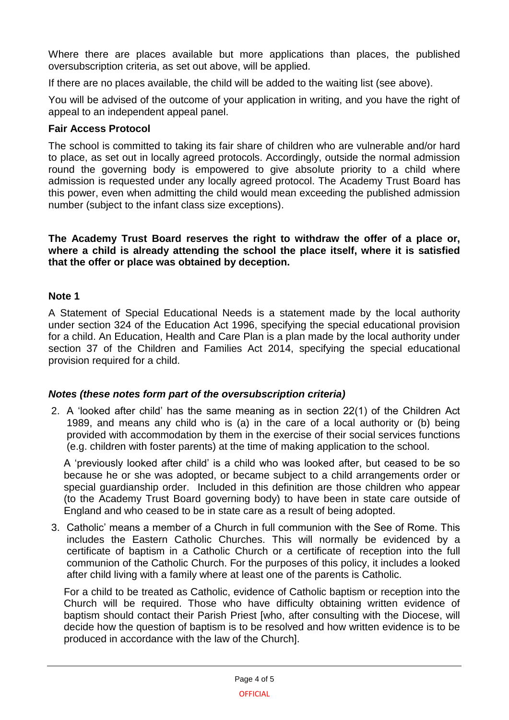Where there are places available but more applications than places, the published oversubscription criteria, as set out above, will be applied.

If there are no places available, the child will be added to the waiting list (see above).

You will be advised of the outcome of your application in writing, and you have the right of appeal to an independent appeal panel.

### **Fair Access Protocol**

The school is committed to taking its fair share of children who are vulnerable and/or hard to place, as set out in locally agreed protocols. Accordingly, outside the normal admission round the governing body is empowered to give absolute priority to a child where admission is requested under any locally agreed protocol. The Academy Trust Board has this power, even when admitting the child would mean exceeding the published admission number (subject to the infant class size exceptions).

**The Academy Trust Board reserves the right to withdraw the offer of a place or, where a child is already attending the school the place itself, where it is satisfied that the offer or place was obtained by deception.**

## **Note 1**

A Statement of Special Educational Needs is a statement made by the local authority under section 324 of the Education Act 1996, specifying the special educational provision for a child. An Education, Health and Care Plan is a plan made by the local authority under section 37 of the Children and Families Act 2014, specifying the special educational provision required for a child.

## *Notes (these notes form part of the oversubscription criteria)*

2. A 'looked after child' has the same meaning as in section 22(1) of the Children Act 1989, and means any child who is (a) in the care of a local authority or (b) being provided with accommodation by them in the exercise of their social services functions (e.g. children with foster parents) at the time of making application to the school.

A 'previously looked after child' is a child who was looked after, but ceased to be so because he or she was adopted, or became subject to a child arrangements order or special guardianship order. Included in this definition are those children who appear (to the Academy Trust Board governing body) to have been in state care outside of England and who ceased to be in state care as a result of being adopted.

3. Catholic' means a member of a Church in full communion with the See of Rome. This includes the Eastern Catholic Churches. This will normally be evidenced by a certificate of baptism in a Catholic Church or a certificate of reception into the full communion of the Catholic Church. For the purposes of this policy, it includes a looked after child living with a family where at least one of the parents is Catholic.

For a child to be treated as Catholic, evidence of Catholic baptism or reception into the Church will be required. Those who have difficulty obtaining written evidence of baptism should contact their Parish Priest [who, after consulting with the Diocese, will decide how the question of baptism is to be resolved and how written evidence is to be produced in accordance with the law of the Church].